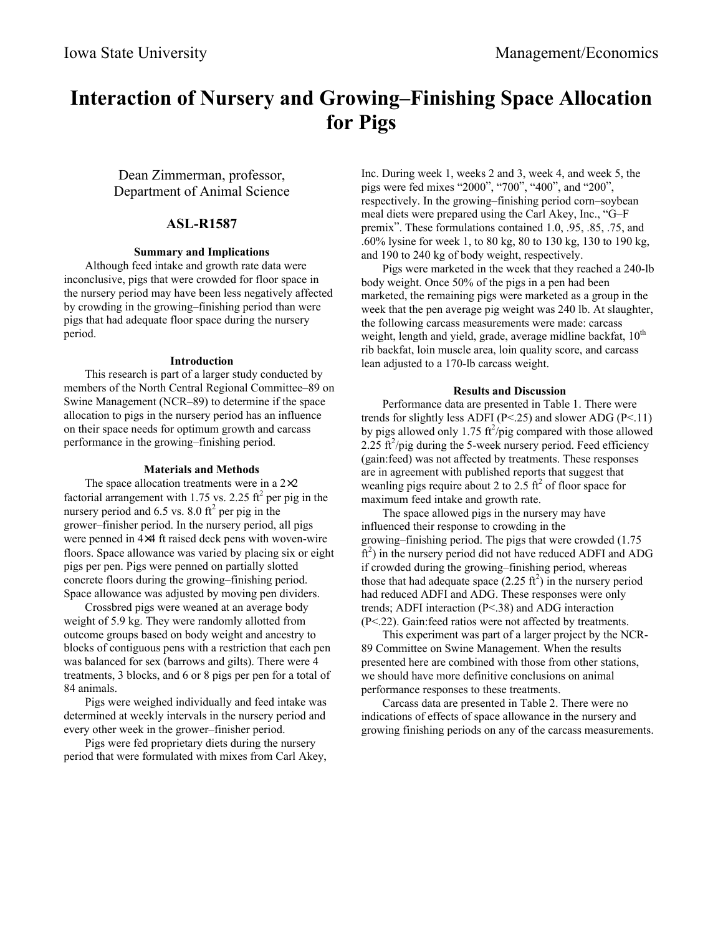# **Interaction of Nursery and Growing–Finishing Space Allocation for Pigs**

Dean Zimmerman, professor, Department of Animal Science

## **ASL-R1587**

#### **Summary and Implications**

Although feed intake and growth rate data were inconclusive, pigs that were crowded for floor space in the nursery period may have been less negatively affected by crowding in the growing–finishing period than were pigs that had adequate floor space during the nursery period.

#### **Introduction**

This research is part of a larger study conducted by members of the North Central Regional Committee–89 on Swine Management (NCR–89) to determine if the space allocation to pigs in the nursery period has an influence on their space needs for optimum growth and carcass performance in the growing–finishing period.

### **Materials and Methods**

The space allocation treatments were in a  $2\times2$ factorial arrangement with  $1.75$  vs. 2.25 ft<sup>2</sup> per pig in the nursery period and 6.5 vs. 8.0  $\text{ft}^2$  per pig in the grower–finisher period. In the nursery period, all pigs were penned in 4×4 ft raised deck pens with woven-wire floors. Space allowance was varied by placing six or eight pigs per pen. Pigs were penned on partially slotted concrete floors during the growing–finishing period. Space allowance was adjusted by moving pen dividers.

Crossbred pigs were weaned at an average body weight of 5.9 kg. They were randomly allotted from outcome groups based on body weight and ancestry to blocks of contiguous pens with a restriction that each pen was balanced for sex (barrows and gilts). There were 4 treatments, 3 blocks, and 6 or 8 pigs per pen for a total of 84 animals.

Pigs were weighed individually and feed intake was determined at weekly intervals in the nursery period and every other week in the grower–finisher period.

Pigs were fed proprietary diets during the nursery period that were formulated with mixes from Carl Akey, Inc. During week 1, weeks 2 and 3, week 4, and week 5, the pigs were fed mixes "2000", "700", "400", and "200", respectively. In the growing–finishing period corn–soybean meal diets were prepared using the Carl Akey, Inc., "G–F premix". These formulations contained 1.0, .95, .85, .75, and .60% lysine for week 1, to 80 kg, 80 to 130 kg, 130 to 190 kg, and 190 to 240 kg of body weight, respectively.

Pigs were marketed in the week that they reached a 240-lb body weight. Once 50% of the pigs in a pen had been marketed, the remaining pigs were marketed as a group in the week that the pen average pig weight was 240 lb. At slaughter, the following carcass measurements were made: carcass weight, length and yield, grade, average midline backfat,  $10<sup>th</sup>$ rib backfat, loin muscle area, loin quality score, and carcass lean adjusted to a 170-lb carcass weight.

#### **Results and Discussion**

Performance data are presented in Table 1. There were trends for slightly less ADFI ( $P \le 25$ ) and slower ADG ( $P \le 11$ ) by pigs allowed only 1.75  $\frac{\hbar^2}{\hbar^2}$  compared with those allowed  $2.25 \text{ ft}^2/\text{pie}$  during the 5-week nursery period. Feed efficiency (gain:feed) was not affected by treatments. These responses are in agreement with published reports that suggest that weanling pigs require about 2 to 2.5  $\text{ft}^2$  of floor space for maximum feed intake and growth rate.

The space allowed pigs in the nursery may have influenced their response to crowding in the growing–finishing period. The pigs that were crowded (1.75  $\tilde{f}$ ) in the nursery period did not have reduced ADFI and ADG if crowded during the growing–finishing period, whereas those that had adequate space  $(2.25 \text{ ft}^2)$  in the nursery period had reduced ADFI and ADG. These responses were only trends; ADFI interaction (P<.38) and ADG interaction (P<.22). Gain:feed ratios were not affected by treatments.

This experiment was part of a larger project by the NCR-89 Committee on Swine Management. When the results presented here are combined with those from other stations, we should have more definitive conclusions on animal performance responses to these treatments.

Carcass data are presented in Table 2. There were no indications of effects of space allowance in the nursery and growing finishing periods on any of the carcass measurements.